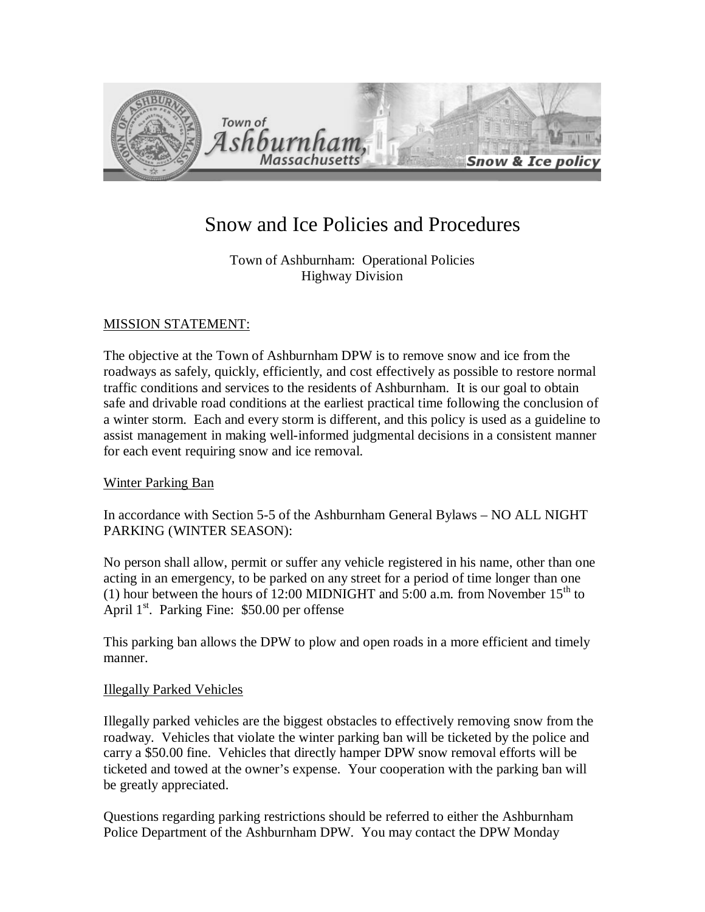

# Snow and Ice Policies and Procedures

Town of Ashburnham: Operational Policies Highway Division

# MISSION STATEMENT:

The objective at the Town of Ashburnham DPW is to remove snow and ice from the roadways as safely, quickly, efficiently, and cost effectively as possible to restore normal traffic conditions and services to the residents of Ashburnham. It is our goal to obtain safe and drivable road conditions at the earliest practical time following the conclusion of a winter storm. Each and every storm is different, and this policy is used as a guideline to assist management in making well-informed judgmental decisions in a consistent manner for each event requiring snow and ice removal.

# Winter Parking Ban

In accordance with Section 5-5 of the Ashburnham General Bylaws – NO ALL NIGHT PARKING (WINTER SEASON):

No person shall allow, permit or suffer any vehicle registered in his name, other than one acting in an emergency, to be parked on any street for a period of time longer than one (1) hour between the hours of 12:00 MIDNIGHT and 5:00 a.m. from November  $15<sup>th</sup>$  to April  $1<sup>st</sup>$ . Parking Fine: \$50.00 per offense

This parking ban allows the DPW to plow and open roads in a more efficient and timely manner.

# Illegally Parked Vehicles

Illegally parked vehicles are the biggest obstacles to effectively removing snow from the roadway. Vehicles that violate the winter parking ban will be ticketed by the police and carry a \$50.00 fine. Vehicles that directly hamper DPW snow removal efforts will be ticketed and towed at the owner's expense. Your cooperation with the parking ban will be greatly appreciated.

Questions regarding parking restrictions should be referred to either the Ashburnham Police Department of the Ashburnham DPW. You may contact the DPW Monday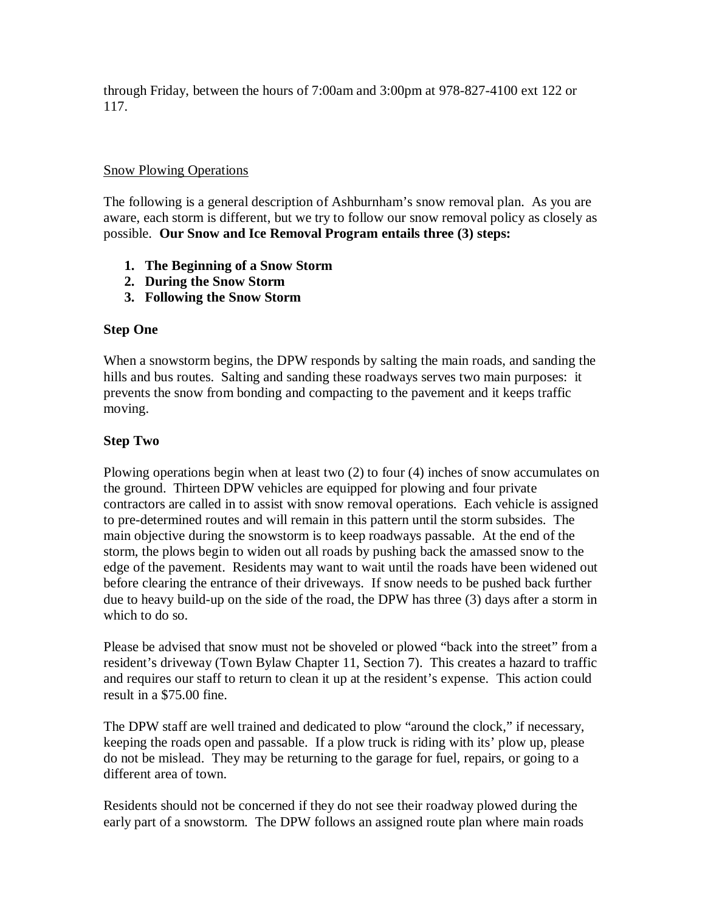through Friday, between the hours of 7:00am and 3:00pm at 978-827-4100 ext 122 or 117.

## Snow Plowing Operations

The following is a general description of Ashburnham's snow removal plan. As you are aware, each storm is different, but we try to follow our snow removal policy as closely as possible. **Our Snow and Ice Removal Program entails three (3) steps:**

- **1. The Beginning of a Snow Storm**
- **2. During the Snow Storm**
- **3. Following the Snow Storm**

# **Step One**

When a snowstorm begins, the DPW responds by salting the main roads, and sanding the hills and bus routes. Salting and sanding these roadways serves two main purposes: it prevents the snow from bonding and compacting to the pavement and it keeps traffic moving.

# **Step Two**

Plowing operations begin when at least two (2) to four (4) inches of snow accumulates on the ground. Thirteen DPW vehicles are equipped for plowing and four private contractors are called in to assist with snow removal operations. Each vehicle is assigned to pre-determined routes and will remain in this pattern until the storm subsides. The main objective during the snowstorm is to keep roadways passable. At the end of the storm, the plows begin to widen out all roads by pushing back the amassed snow to the edge of the pavement. Residents may want to wait until the roads have been widened out before clearing the entrance of their driveways. If snow needs to be pushed back further due to heavy build-up on the side of the road, the DPW has three (3) days after a storm in which to do so.

Please be advised that snow must not be shoveled or plowed "back into the street" from a resident's driveway (Town Bylaw Chapter 11, Section 7). This creates a hazard to traffic and requires our staff to return to clean it up at the resident's expense. This action could result in a \$75.00 fine.

The DPW staff are well trained and dedicated to plow "around the clock," if necessary, keeping the roads open and passable. If a plow truck is riding with its' plow up, please do not be mislead. They may be returning to the garage for fuel, repairs, or going to a different area of town.

Residents should not be concerned if they do not see their roadway plowed during the early part of a snowstorm. The DPW follows an assigned route plan where main roads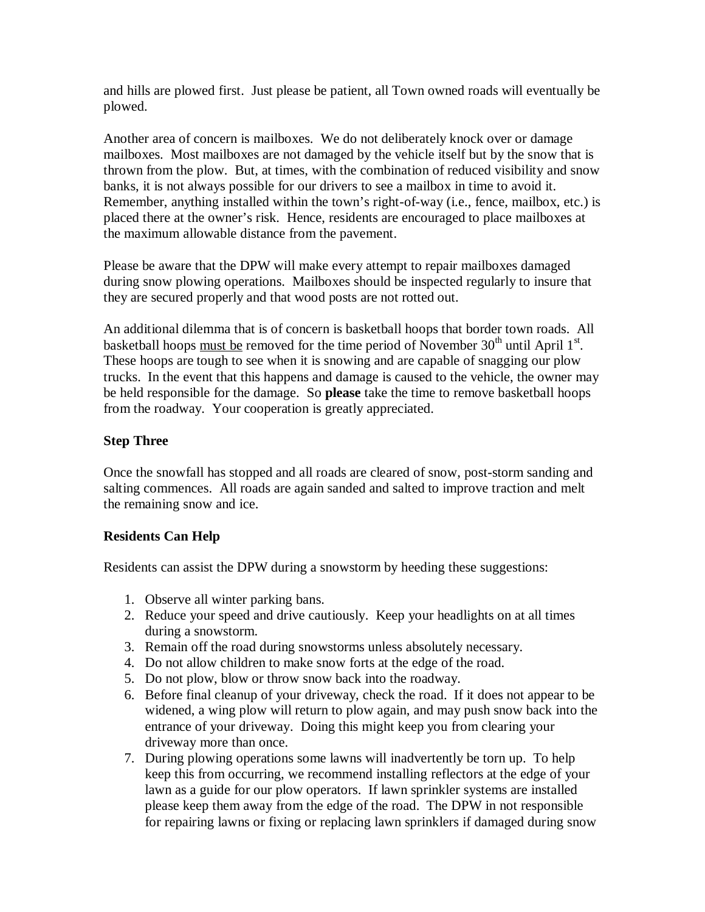and hills are plowed first. Just please be patient, all Town owned roads will eventually be plowed.

Another area of concern is mailboxes. We do not deliberately knock over or damage mailboxes. Most mailboxes are not damaged by the vehicle itself but by the snow that is thrown from the plow. But, at times, with the combination of reduced visibility and snow banks, it is not always possible for our drivers to see a mailbox in time to avoid it. Remember, anything installed within the town's right-of-way (i.e., fence, mailbox, etc.) is placed there at the owner's risk. Hence, residents are encouraged to place mailboxes at the maximum allowable distance from the pavement.

Please be aware that the DPW will make every attempt to repair mailboxes damaged during snow plowing operations. Mailboxes should be inspected regularly to insure that they are secured properly and that wood posts are not rotted out.

An additional dilemma that is of concern is basketball hoops that border town roads. All basketball hoops must be removed for the time period of November  $30<sup>th</sup>$  until April  $1<sup>st</sup>$ . These hoops are tough to see when it is snowing and are capable of snagging our plow trucks. In the event that this happens and damage is caused to the vehicle, the owner may be held responsible for the damage. So **please** take the time to remove basketball hoops from the roadway. Your cooperation is greatly appreciated.

# **Step Three**

Once the snowfall has stopped and all roads are cleared of snow, post-storm sanding and salting commences. All roads are again sanded and salted to improve traction and melt the remaining snow and ice.

# **Residents Can Help**

Residents can assist the DPW during a snowstorm by heeding these suggestions:

- 1. Observe all winter parking bans.
- 2. Reduce your speed and drive cautiously. Keep your headlights on at all times during a snowstorm.
- 3. Remain off the road during snowstorms unless absolutely necessary.
- 4. Do not allow children to make snow forts at the edge of the road.
- 5. Do not plow, blow or throw snow back into the roadway.
- 6. Before final cleanup of your driveway, check the road. If it does not appear to be widened, a wing plow will return to plow again, and may push snow back into the entrance of your driveway. Doing this might keep you from clearing your driveway more than once.
- 7. During plowing operations some lawns will inadvertently be torn up. To help keep this from occurring, we recommend installing reflectors at the edge of your lawn as a guide for our plow operators. If lawn sprinkler systems are installed please keep them away from the edge of the road. The DPW in not responsible for repairing lawns or fixing or replacing lawn sprinklers if damaged during snow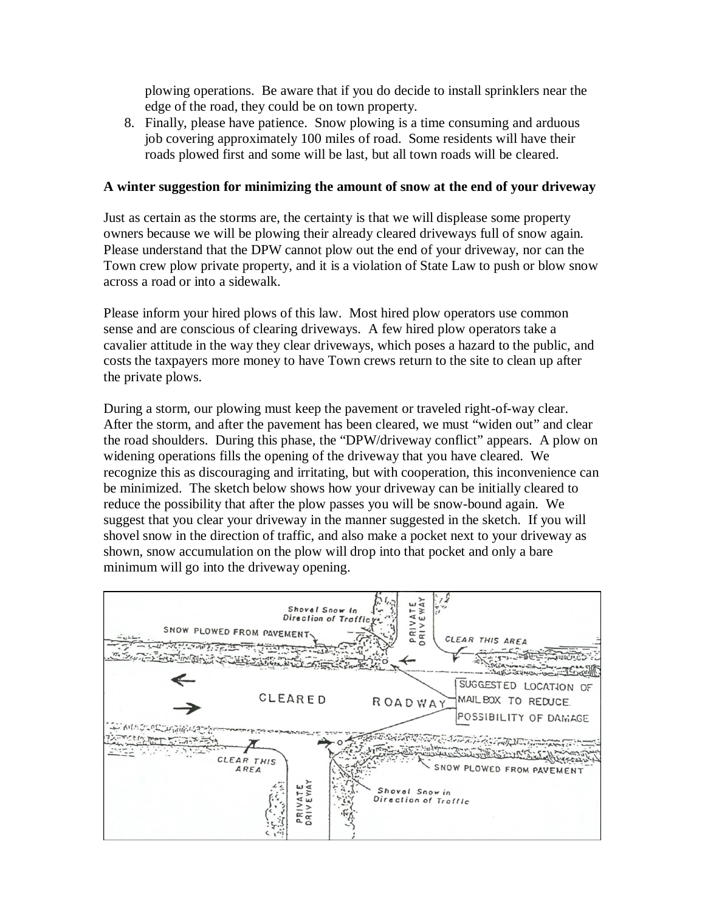plowing operations. Be aware that if you do decide to install sprinklers near the edge of the road, they could be on town property.

8. Finally, please have patience. Snow plowing is a time consuming and arduous job covering approximately 100 miles of road. Some residents will have their roads plowed first and some will be last, but all town roads will be cleared.

#### **A winter suggestion for minimizing the amount of snow at the end of your driveway**

Just as certain as the storms are, the certainty is that we will displease some property owners because we will be plowing their already cleared driveways full of snow again. Please understand that the DPW cannot plow out the end of your driveway, nor can the Town crew plow private property, and it is a violation of State Law to push or blow snow across a road or into a sidewalk.

Please inform your hired plows of this law. Most hired plow operators use common sense and are conscious of clearing driveways. A few hired plow operators take a cavalier attitude in the way they clear driveways, which poses a hazard to the public, and costs the taxpayers more money to have Town crews return to the site to clean up after the private plows.

During a storm, our plowing must keep the pavement or traveled right-of-way clear. After the storm, and after the pavement has been cleared, we must "widen out" and clear the road shoulders. During this phase, the "DPW/driveway conflict" appears. A plow on widening operations fills the opening of the driveway that you have cleared. We recognize this as discouraging and irritating, but with cooperation, this inconvenience can be minimized. The sketch below shows how your driveway can be initially cleared to reduce the possibility that after the plow passes you will be snow-bound again. We suggest that you clear your driveway in the manner suggested in the sketch. If you will shovel snow in the direction of traffic, and also make a pocket next to your driveway as shown, snow accumulation on the plow will drop into that pocket and only a bare minimum will go into the driveway opening.